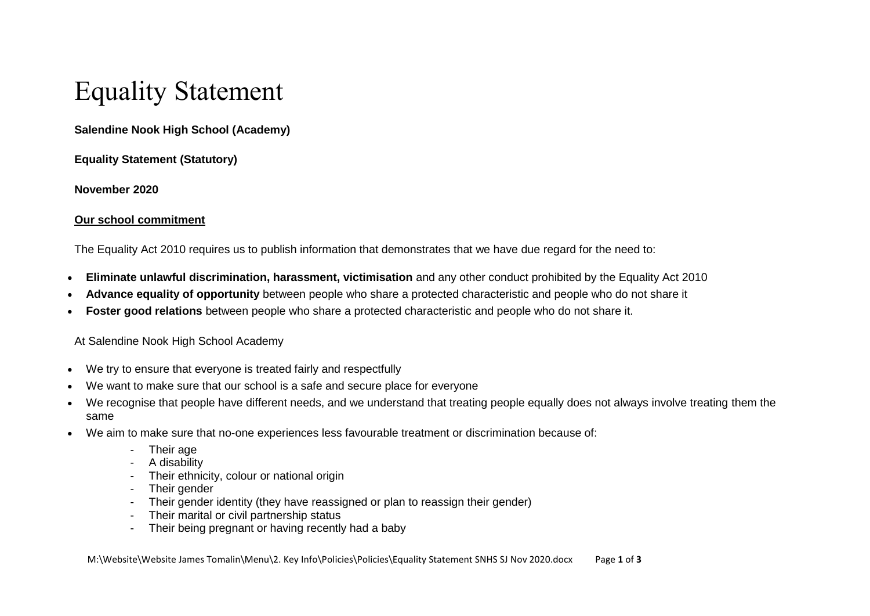# Equality Statement

# **Salendine Nook High School (Academy)**

**Equality Statement (Statutory)**

**November 2020**

### **Our school commitment**

The Equality Act 2010 requires us to publish information that demonstrates that we have due regard for the need to:

- **Eliminate unlawful discrimination, harassment, victimisation** and any other conduct prohibited by the Equality Act 2010
- **Advance equality of opportunity** between people who share a protected characteristic and people who do not share it
- **Foster good relations** between people who share a protected characteristic and people who do not share it.

### At Salendine Nook High School Academy

- We try to ensure that everyone is treated fairly and respectfully
- We want to make sure that our school is a safe and secure place for everyone
- We recognise that people have different needs, and we understand that treating people equally does not always involve treating them the same
- We aim to make sure that no-one experiences less favourable treatment or discrimination because of:
	- Their age
	- A disability
	- Their ethnicity, colour or national origin
	- Their gender
	- Their gender identity (they have reassigned or plan to reassign their gender)
	- Their marital or civil partnership status
	- Their being pregnant or having recently had a baby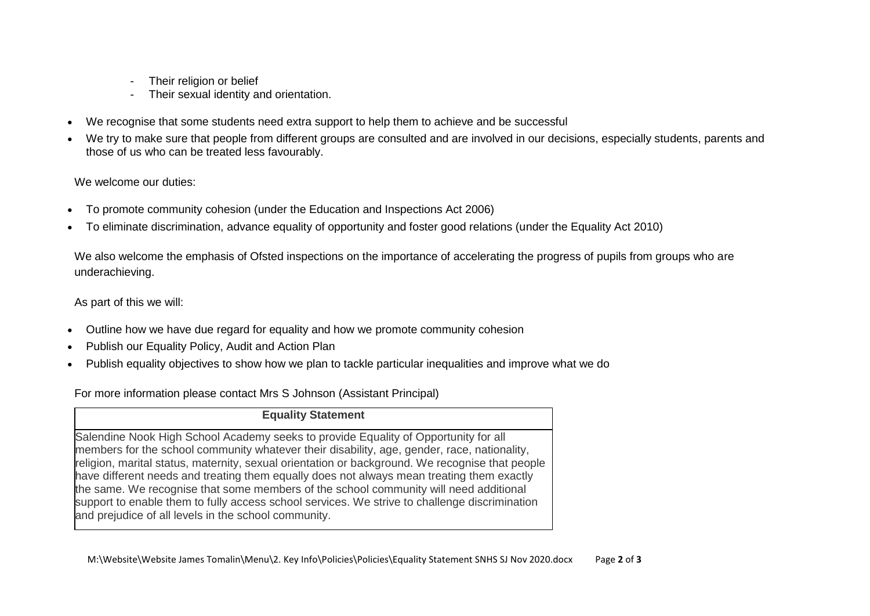- Their religion or belief
- Their sexual identity and orientation.
- We recognise that some students need extra support to help them to achieve and be successful
- We try to make sure that people from different groups are consulted and are involved in our decisions, especially students, parents and those of us who can be treated less favourably.

We welcome our duties:

- To promote community cohesion (under the Education and Inspections Act 2006)
- To eliminate discrimination, advance equality of opportunity and foster good relations (under the Equality Act 2010)

We also welcome the emphasis of Ofsted inspections on the importance of accelerating the progress of pupils from groups who are underachieving.

As part of this we will:

- Outline how we have due regard for equality and how we promote community cohesion
- Publish our Equality Policy, Audit and Action Plan
- Publish equality objectives to show how we plan to tackle particular inequalities and improve what we do

For more information please contact Mrs S Johnson (Assistant Principal)

#### **Equality Statement**

Salendine Nook High School Academy seeks to provide Equality of Opportunity for all members for the school community whatever their disability, age, gender, race, nationality, religion, marital status, maternity, sexual orientation or background. We recognise that people have different needs and treating them equally does not always mean treating them exactly the same. We recognise that some members of the school community will need additional support to enable them to fully access school services. We strive to challenge discrimination and prejudice of all levels in the school community.